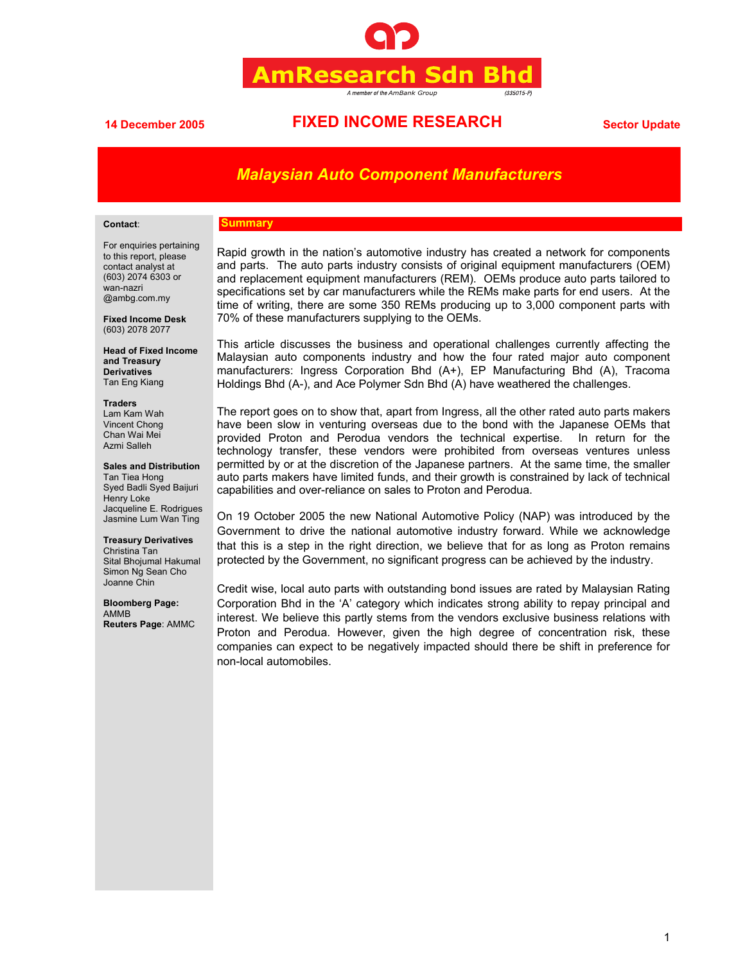

# **14 December 2005 FIXED INCOME RESEARCH Sector Update**

# *Malaysian Auto Component Manufacturers*

#### **Contact**:

#### **Summary**

For enquiries pertaining to this report, please contact analyst at (603) 2074 6303 or wan-nazri @ambg.com.my

**Fixed Income Desk**  (603) 2078 2077

**Head of Fixed Income and Treasury Derivatives**  Tan Eng Kiang

#### **Traders**

Lam Kam Wah Vincent Chong Chan Wai Mei Azmi Salleh

**Sales and Distribution** 

Tan Tiea Hong Syed Badli Syed Baijuri Henry Loke Jacqueline E. Rodrigues Jasmine Lum Wan Ting

## **Treasury Derivatives**

Christina Tan Sital Bhojumal Hakumal Simon Ng Sean Cho Joanne Chin

**Bloomberg Page:** AMMB **Reuters Page**: AMMC Rapid growth in the nation's automotive industry has created a network for components and parts. The auto parts industry consists of original equipment manufacturers (OEM) and replacement equipment manufacturers (REM). OEMs produce auto parts tailored to specifications set by car manufacturers while the REMs make parts for end users. At the time of writing, there are some 350 REMs producing up to 3,000 component parts with 70% of these manufacturers supplying to the OEMs.

This article discusses the business and operational challenges currently affecting the Malaysian auto components industry and how the four rated major auto component manufacturers: Ingress Corporation Bhd (A+), EP Manufacturing Bhd (A), Tracoma Holdings Bhd (A-), and Ace Polymer Sdn Bhd (A) have weathered the challenges.

The report goes on to show that, apart from Ingress, all the other rated auto parts makers have been slow in venturing overseas due to the bond with the Japanese OEMs that provided Proton and Perodua vendors the technical expertise. In return for the technology transfer, these vendors were prohibited from overseas ventures unless permitted by or at the discretion of the Japanese partners. At the same time, the smaller auto parts makers have limited funds, and their growth is constrained by lack of technical capabilities and over-reliance on sales to Proton and Perodua.

On 19 October 2005 the new National Automotive Policy (NAP) was introduced by the Government to drive the national automotive industry forward. While we acknowledge that this is a step in the right direction, we believe that for as long as Proton remains protected by the Government, no significant progress can be achieved by the industry.

Credit wise, local auto parts with outstanding bond issues are rated by Malaysian Rating Corporation Bhd in the 'A' category which indicates strong ability to repay principal and interest. We believe this partly stems from the vendors exclusive business relations with Proton and Perodua. However, given the high degree of concentration risk, these companies can expect to be negatively impacted should there be shift in preference for non-local automobiles.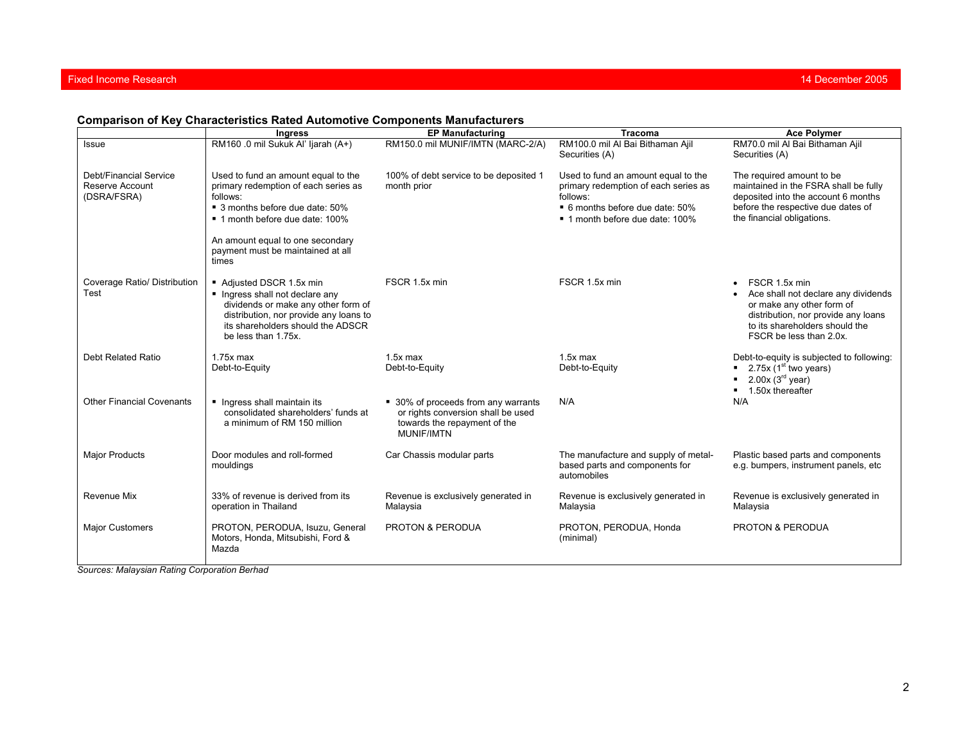## Fixed Income Research

## **Comparison of Key Characteristics Rated Automotive Components Manufacturers**

|                                                          | <b>Ingress</b>                                                                                                                                                                                                                                  | <b>EP Manufacturing</b>                                                                                                        | <b>Tracoma</b>                                                                                                                                                | <b>Ace Polymer</b>                                                                                                                                                                    |
|----------------------------------------------------------|-------------------------------------------------------------------------------------------------------------------------------------------------------------------------------------------------------------------------------------------------|--------------------------------------------------------------------------------------------------------------------------------|---------------------------------------------------------------------------------------------------------------------------------------------------------------|---------------------------------------------------------------------------------------------------------------------------------------------------------------------------------------|
| Issue                                                    | RM160 .0 mil Sukuk Al' ljarah (A+)                                                                                                                                                                                                              | RM150.0 mil MUNIF/IMTN (MARC-2/A)                                                                                              | RM100.0 mil Al Bai Bithaman Ajil<br>Securities (A)                                                                                                            | RM70.0 mil Al Bai Bithaman Ajil<br>Securities (A)                                                                                                                                     |
| Debt/Financial Service<br>Reserve Account<br>(DSRA/FSRA) | Used to fund an amount equal to the<br>primary redemption of each series as<br>follows:<br>■ 3 months before due date: 50%<br>■ 1 month before due date: 100%<br>An amount equal to one secondary<br>payment must be maintained at all<br>times | 100% of debt service to be deposited 1<br>month prior                                                                          | Used to fund an amount equal to the<br>primary redemption of each series as<br>follows:<br>■ 6 months before due date: 50%<br>■ 1 month before due date: 100% | The required amount to be<br>maintained in the FSRA shall be fully<br>deposited into the account 6 months<br>before the respective due dates of<br>the financial obligations.         |
| Coverage Ratio/ Distribution<br>Test                     | Adjusted DSCR 1.5x min<br>Ingress shall not declare any<br>dividends or make any other form of<br>distribution, nor provide any loans to<br>its shareholders should the ADSCR<br>be less than 1.75x.                                            | FSCR 1.5x min                                                                                                                  | FSCR 1.5x min                                                                                                                                                 | FSCR 1.5x min<br>Ace shall not declare any dividends<br>or make any other form of<br>distribution, nor provide any loans<br>to its shareholders should the<br>FSCR be less than 2.0x. |
| Debt Related Ratio                                       | $1.75x$ max<br>Debt-to-Equity                                                                                                                                                                                                                   | $1.5x$ max<br>Debt-to-Equity                                                                                                   | $1.5x$ max<br>Debt-to-Equity                                                                                                                                  | Debt-to-equity is subjected to following:<br>■ 2.75x (1 <sup>st</sup> two years)<br>$2.00x(3^{rd}$ year)<br>■ 1.50x thereafter                                                        |
| <b>Other Financial Covenants</b>                         | Ingress shall maintain its<br>consolidated shareholders' funds at<br>a minimum of RM 150 million                                                                                                                                                | ■ 30% of proceeds from any warrants<br>or rights conversion shall be used<br>towards the repayment of the<br><b>MUNIF/IMTN</b> | N/A                                                                                                                                                           | N/A                                                                                                                                                                                   |
| <b>Major Products</b>                                    | Door modules and roll-formed<br>mouldings                                                                                                                                                                                                       | Car Chassis modular parts                                                                                                      | The manufacture and supply of metal-<br>based parts and components for<br>automobiles                                                                         | Plastic based parts and components<br>e.g. bumpers, instrument panels, etc                                                                                                            |
| Revenue Mix                                              | 33% of revenue is derived from its<br>operation in Thailand                                                                                                                                                                                     | Revenue is exclusively generated in<br>Malaysia                                                                                | Revenue is exclusively generated in<br>Malaysia                                                                                                               | Revenue is exclusively generated in<br>Malaysia                                                                                                                                       |
| <b>Major Customers</b>                                   | PROTON, PERODUA, Isuzu, General<br>Motors, Honda, Mitsubishi, Ford &<br>Mazda                                                                                                                                                                   | <b>PROTON &amp; PERODUA</b>                                                                                                    | PROTON, PERODUA, Honda<br>(minimal)                                                                                                                           | <b>PROTON &amp; PERODUA</b>                                                                                                                                                           |

*Sources: Malaysian Rating Corporation Berhad*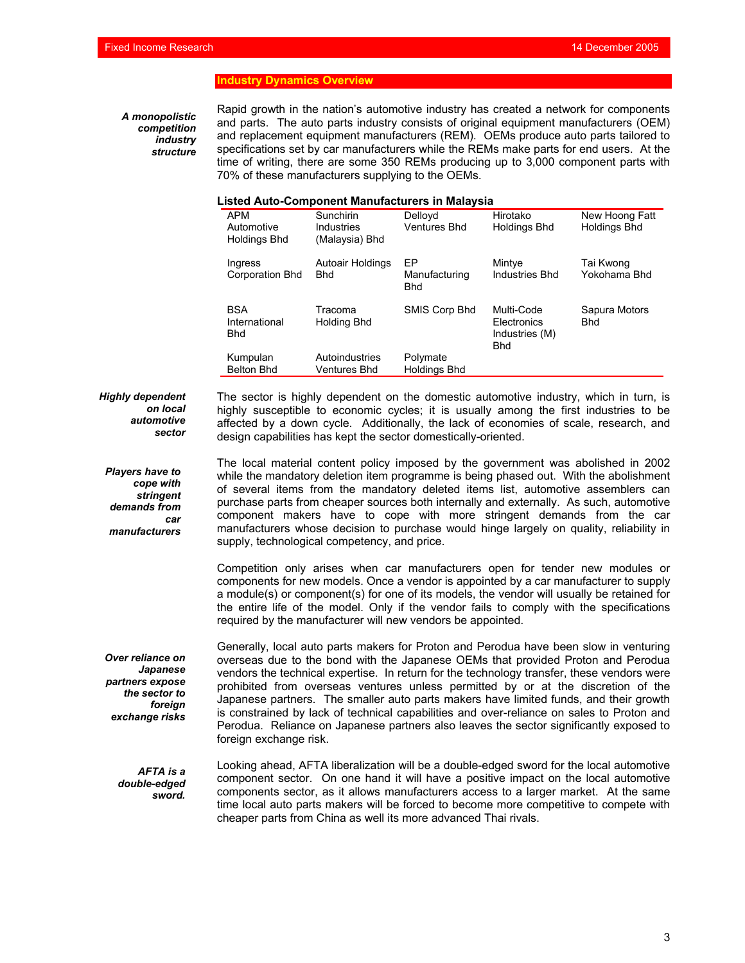### **Industry Dynamics Overview**

*A monopolistic competition industry structure*  Rapid growth in the nation's automotive industry has created a network for components and parts. The auto parts industry consists of original equipment manufacturers (OEM) and replacement equipment manufacturers (REM). OEMs produce auto parts tailored to specifications set by car manufacturers while the REMs make parts for end users. At the time of writing, there are some 350 REMs producing up to 3,000 component parts with 70% of these manufacturers supplying to the OEMs.

## **Listed Auto-Component Manufacturers in Malaysia**

|                                                 | isteu Auto-Component Manufacturers III Malaysia |                                   |                                                           |                                       |
|-------------------------------------------------|-------------------------------------------------|-----------------------------------|-----------------------------------------------------------|---------------------------------------|
| <b>APM</b><br>Automotive<br><b>Holdings Bhd</b> | Sunchirin<br>Industries<br>(Malaysia) Bhd       | Dellovd<br><b>Ventures Bhd</b>    | Hirotako<br><b>Holdings Bhd</b>                           | New Hoong Fatt<br><b>Holdings Bhd</b> |
| Ingress<br>Corporation Bhd                      | Autoair Holdings<br><b>Bhd</b>                  | FP<br>Manufacturing<br><b>Bhd</b> | Mintye<br>Industries Bhd                                  | Tai Kwong<br>Yokohama Bhd             |
| <b>BSA</b><br>International<br><b>Bhd</b>       | Tracoma<br>Holding Bhd                          | SMIS Corp Bhd                     | Multi-Code<br>Electronics<br>Industries (M)<br><b>Bhd</b> | Sapura Motors<br>Bhd                  |
| Kumpulan<br><b>Belton Bhd</b>                   | Autoindustries<br>Ventures Bhd                  | Polymate<br><b>Holdings Bhd</b>   |                                                           |                                       |

*Highly dependent on local automotive sector* 

The sector is highly dependent on the domestic automotive industry, which in turn, is highly susceptible to economic cycles; it is usually among the first industries to be affected by a down cycle. Additionally, the lack of economies of scale, research, and design capabilities has kept the sector domestically-oriented.

*Players have to cope with stringent demands from car manufacturers*  The local material content policy imposed by the government was abolished in 2002 while the mandatory deletion item programme is being phased out. With the abolishment of several items from the mandatory deleted items list, automotive assemblers can purchase parts from cheaper sources both internally and externally. As such, automotive component makers have to cope with more stringent demands from the car manufacturers whose decision to purchase would hinge largely on quality, reliability in supply, technological competency, and price.

Competition only arises when car manufacturers open for tender new modules or components for new models. Once a vendor is appointed by a car manufacturer to supply a module(s) or component(s) for one of its models, the vendor will usually be retained for the entire life of the model. Only if the vendor fails to comply with the specifications required by the manufacturer will new vendors be appointed.

Generally, local auto parts makers for Proton and Perodua have been slow in venturing overseas due to the bond with the Japanese OEMs that provided Proton and Perodua vendors the technical expertise. In return for the technology transfer, these vendors were prohibited from overseas ventures unless permitted by or at the discretion of the Japanese partners. The smaller auto parts makers have limited funds, and their growth is constrained by lack of technical capabilities and over-reliance on sales to Proton and Perodua. Reliance on Japanese partners also leaves the sector significantly exposed to foreign exchange risk.

*AFTA is a double-edged sword.* 

*Over reliance on Japanese partners expose the sector to foreign exchange risks* 

> Looking ahead, AFTA liberalization will be a double-edged sword for the local automotive component sector. On one hand it will have a positive impact on the local automotive components sector, as it allows manufacturers access to a larger market. At the same time local auto parts makers will be forced to become more competitive to compete with cheaper parts from China as well its more advanced Thai rivals.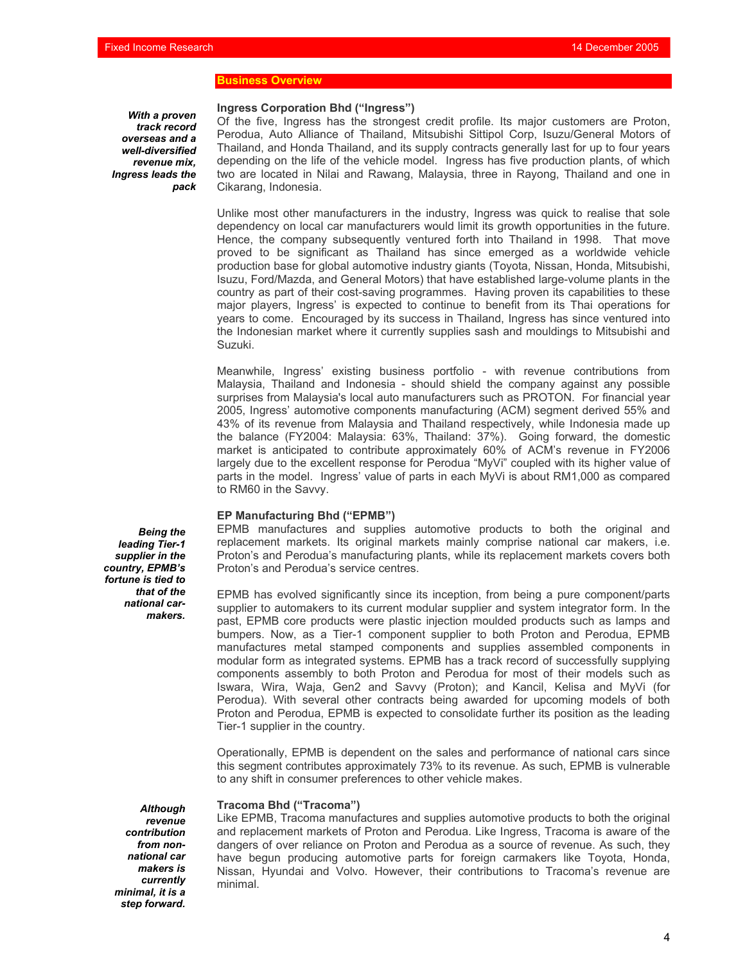## **Business Overview**

*With a proven track record overseas and a well-diversified revenue mix, Ingress leads the pack*  **Ingress Corporation Bhd ("Ingress")** 

Of the five, Ingress has the strongest credit profile. Its major customers are Proton, Perodua, Auto Alliance of Thailand, Mitsubishi Sittipol Corp, Isuzu/General Motors of Thailand, and Honda Thailand, and its supply contracts generally last for up to four years depending on the life of the vehicle model. Ingress has five production plants, of which two are located in Nilai and Rawang, Malaysia, three in Rayong, Thailand and one in Cikarang, Indonesia.

Unlike most other manufacturers in the industry, Ingress was quick to realise that sole dependency on local car manufacturers would limit its growth opportunities in the future. Hence, the company subsequently ventured forth into Thailand in 1998. That move proved to be significant as Thailand has since emerged as a worldwide vehicle production base for global automotive industry giants (Toyota, Nissan, Honda, Mitsubishi, Isuzu, Ford/Mazda, and General Motors) that have established large-volume plants in the country as part of their cost-saving programmes. Having proven its capabilities to these major players, Ingress' is expected to continue to benefit from its Thai operations for years to come. Encouraged by its success in Thailand, Ingress has since ventured into the Indonesian market where it currently supplies sash and mouldings to Mitsubishi and Suzuki.

Meanwhile, Ingress' existing business portfolio - with revenue contributions from Malaysia, Thailand and Indonesia - should shield the company against any possible surprises from Malaysia's local auto manufacturers such as PROTON. For financial year 2005, Ingress' automotive components manufacturing (ACM) segment derived 55% and 43% of its revenue from Malaysia and Thailand respectively, while Indonesia made up the balance (FY2004: Malaysia: 63%, Thailand: 37%). Going forward, the domestic market is anticipated to contribute approximately 60% of ACM's revenue in FY2006 largely due to the excellent response for Perodua "MyVi" coupled with its higher value of parts in the model. Ingress' value of parts in each MyVi is about RM1,000 as compared to RM60 in the Savvy.

#### **EP Manufacturing Bhd ("EPMB")**

EPMB manufactures and supplies automotive products to both the original and replacement markets. Its original markets mainly comprise national car makers, i.e. Proton's and Perodua's manufacturing plants, while its replacement markets covers both Proton's and Perodua's service centres.

EPMB has evolved significantly since its inception, from being a pure component/parts supplier to automakers to its current modular supplier and system integrator form. In the past, EPMB core products were plastic injection moulded products such as lamps and bumpers. Now, as a Tier-1 component supplier to both Proton and Perodua, EPMB manufactures metal stamped components and supplies assembled components in modular form as integrated systems. EPMB has a track record of successfully supplying components assembly to both Proton and Perodua for most of their models such as Iswara, Wira, Waja, Gen2 and Savvy (Proton); and Kancil, Kelisa and MyVi (for Perodua). With several other contracts being awarded for upcoming models of both Proton and Perodua, EPMB is expected to consolidate further its position as the leading Tier-1 supplier in the country.

Operationally, EPMB is dependent on the sales and performance of national cars since this segment contributes approximately 73% to its revenue. As such, EPMB is vulnerable to any shift in consumer preferences to other vehicle makes.

### **Tracoma Bhd ("Tracoma")**

Like EPMB, Tracoma manufactures and supplies automotive products to both the original and replacement markets of Proton and Perodua. Like Ingress, Tracoma is aware of the dangers of over reliance on Proton and Perodua as a source of revenue. As such, they have begun producing automotive parts for foreign carmakers like Toyota, Honda, Nissan, Hyundai and Volvo. However, their contributions to Tracoma's revenue are minimal.

*Being the leading Tier-1 supplier in the country, EPMB's fortune is tied to that of the national carmakers.* 

> *Although revenue contribution from nonnational car makers is currently minimal, it is a step forward.*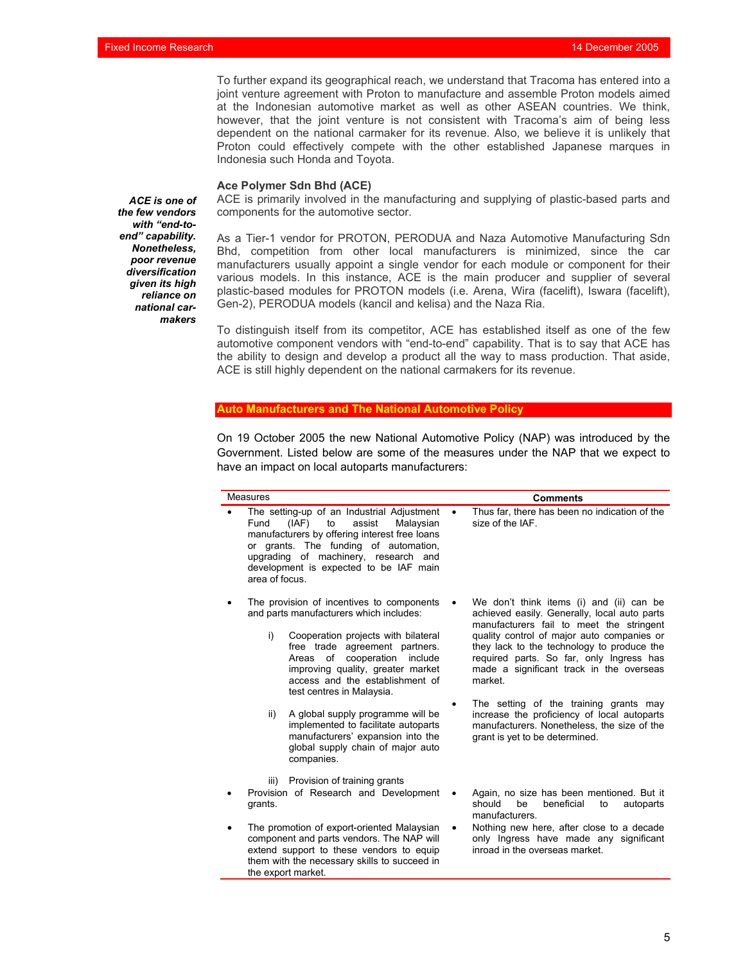To further expand its geographical reach, we understand that Tracoma has entered into a joint venture agreement with Proton to manufacture and assemble Proton models aimed at the Indonesian automotive market as well as other ASEAN countries. We think, however, that the joint venture is not consistent with Tracoma's aim of being less dependent on the national carmaker for its revenue. Also, we believe it is unlikely that Proton could effectively compete with the other established Japanese marques in Indonesia such Honda and Toyota.

### **Ace Polymer Sdn Bhd (ACE)**

the export market.

ACE is primarily involved in the manufacturing and supplying of plastic-based parts and components for the automotive sector.

As a Tier-1 vendor for PROTON, PERODUA and Naza Automotive Manufacturing Sdn Bhd, competition from other local manufacturers is minimized, since the car manufacturers usually appoint a single vendor for each module or component for their various models. In this instance, ACE is the main producer and supplier of several plastic-based modules for PROTON models (i.e. Arena, Wira (facelift), Iswara (facelift), Gen-2), PERODUA models (kancil and kelisa) and the Naza Ria.

To distinguish itself from its competitor, ACE has established itself as one of the few automotive component vendors with "end-to-end" capability. That is to say that ACE has the ability to design and develop a product all the way to mass production. That aside, ACE is still highly dependent on the national carmakers for its revenue.

#### **Manufacturers and The National Automotive**

On 19 October 2005 the new National Automotive Policy (NAP) was introduced by the Government. Listed below are some of the measures under the NAP that we expect to have an impact on local autoparts manufacturers:

| <b>Measures</b>                                                                                                                                                                                                                                                                        |                                                                                                                                                                                                                                                                                                                                                                                   | <b>Comments</b> |                                                                                                                                                                                                                                                                                                                                                                                                                              |  |
|----------------------------------------------------------------------------------------------------------------------------------------------------------------------------------------------------------------------------------------------------------------------------------------|-----------------------------------------------------------------------------------------------------------------------------------------------------------------------------------------------------------------------------------------------------------------------------------------------------------------------------------------------------------------------------------|-----------------|------------------------------------------------------------------------------------------------------------------------------------------------------------------------------------------------------------------------------------------------------------------------------------------------------------------------------------------------------------------------------------------------------------------------------|--|
| The setting-up of an Industrial Adjustment<br>to<br>assist<br>Fund<br>(IAF)<br>Malaysian<br>manufacturers by offering interest free loans<br>or grants. The funding of automation,<br>upgrading of machinery, research and<br>development is expected to be IAF main<br>area of focus. |                                                                                                                                                                                                                                                                                                                                                                                   | $\bullet$       | Thus far, there has been no indication of the<br>size of the IAF.                                                                                                                                                                                                                                                                                                                                                            |  |
| i)<br>ii)                                                                                                                                                                                                                                                                              | The provision of incentives to components<br>and parts manufacturers which includes:<br>Cooperation projects with bilateral<br>free trade agreement partners.<br>Areas of<br>cooperation include<br>improving quality, greater market<br>access and the establishment of<br>test centres in Malaysia.<br>A global supply programme will be<br>implemented to facilitate autoparts | $\bullet$       | We don't think items (i) and (ii) can be<br>achieved easily. Generally, local auto parts<br>manufacturers fail to meet the stringent<br>quality control of major auto companies or<br>they lack to the technology to produce the<br>required parts. So far, only Ingress has<br>made a significant track in the overseas<br>market.<br>The setting of the training grants may<br>increase the proficiency of local autoparts |  |
| grants.                                                                                                                                                                                                                                                                                | manufacturers' expansion into the<br>global supply chain of major auto<br>companies.<br>Provision of training grants<br>iii)<br>Provision of Research and Development                                                                                                                                                                                                             | ٠               | manufacturers. Nonetheless, the size of the<br>grant is yet to be determined.<br>Again, no size has been mentioned. But it<br>should<br>be<br>beneficial<br>autoparts<br>to<br>manufacturers.                                                                                                                                                                                                                                |  |
| The promotion of export-oriented Malaysian<br>component and parts vendors. The NAP will<br>extend support to these vendors to equip<br>them with the necessary skills to succeed in                                                                                                    |                                                                                                                                                                                                                                                                                                                                                                                   |                 | Nothing new here, after close to a decade<br>only Ingress have made any significant<br>inroad in the overseas market.                                                                                                                                                                                                                                                                                                        |  |

*ACE is one of the few vendors with "end-toend" capability. Nonetheless, poor revenue diversification given its high reliance on national carmakers*